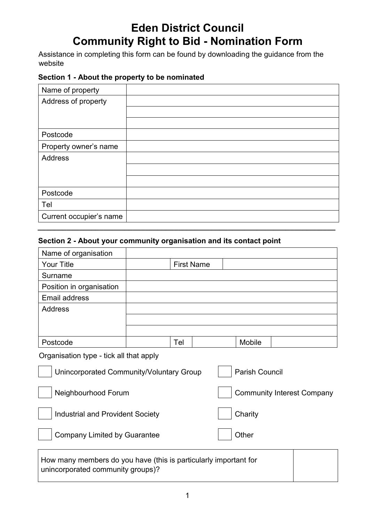# **Eden District Council Community Right to Bid - Nomination Form**

Assistance in completing this form can be found by downloading the guidance from the website

## **Section 1 - About the property to be nominated**

| Name of property        |  |
|-------------------------|--|
| Address of property     |  |
|                         |  |
|                         |  |
| Postcode                |  |
| Property owner's name   |  |
| Address                 |  |
|                         |  |
|                         |  |
| Postcode                |  |
| Tel                     |  |
| Current occupier's name |  |
|                         |  |

# **Section 2 - About your community organisation and its contact point**

| Name of organisation                                                                                  |  |     |                   |                                   |        |  |  |
|-------------------------------------------------------------------------------------------------------|--|-----|-------------------|-----------------------------------|--------|--|--|
| <b>Your Title</b>                                                                                     |  |     | <b>First Name</b> |                                   |        |  |  |
| Surname                                                                                               |  |     |                   |                                   |        |  |  |
| Position in organisation                                                                              |  |     |                   |                                   |        |  |  |
| <b>Email address</b>                                                                                  |  |     |                   |                                   |        |  |  |
| <b>Address</b>                                                                                        |  |     |                   |                                   |        |  |  |
|                                                                                                       |  |     |                   |                                   |        |  |  |
|                                                                                                       |  |     |                   |                                   |        |  |  |
| Postcode                                                                                              |  | Tel |                   |                                   | Mobile |  |  |
| Organisation type - tick all that apply                                                               |  |     |                   |                                   |        |  |  |
| <b>Parish Council</b><br>Unincorporated Community/Voluntary Group                                     |  |     |                   |                                   |        |  |  |
| Neighbourhood Forum                                                                                   |  |     |                   | <b>Community Interest Company</b> |        |  |  |
| <b>Industrial and Provident Society</b>                                                               |  |     |                   | Charity                           |        |  |  |
| <b>Company Limited by Guarantee</b>                                                                   |  |     |                   | Other                             |        |  |  |
| How many members do you have (this is particularly important for<br>unincorporated community groups)? |  |     |                   |                                   |        |  |  |